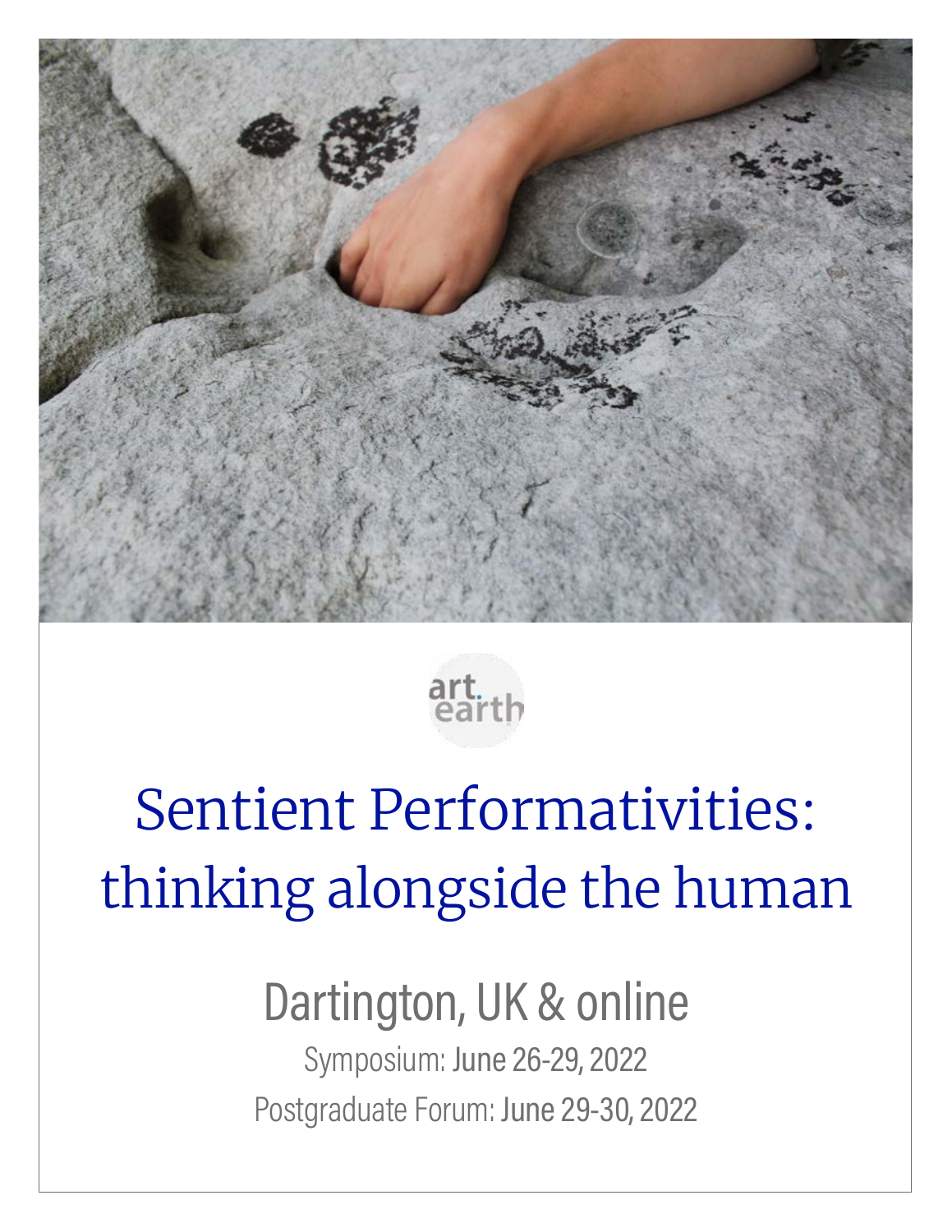



# Sentient Performativities: thinking alongside the human

# Dartington, UK & online Symposium: June 26-29, 2022

Postgraduate Forum: June 29-30, 2022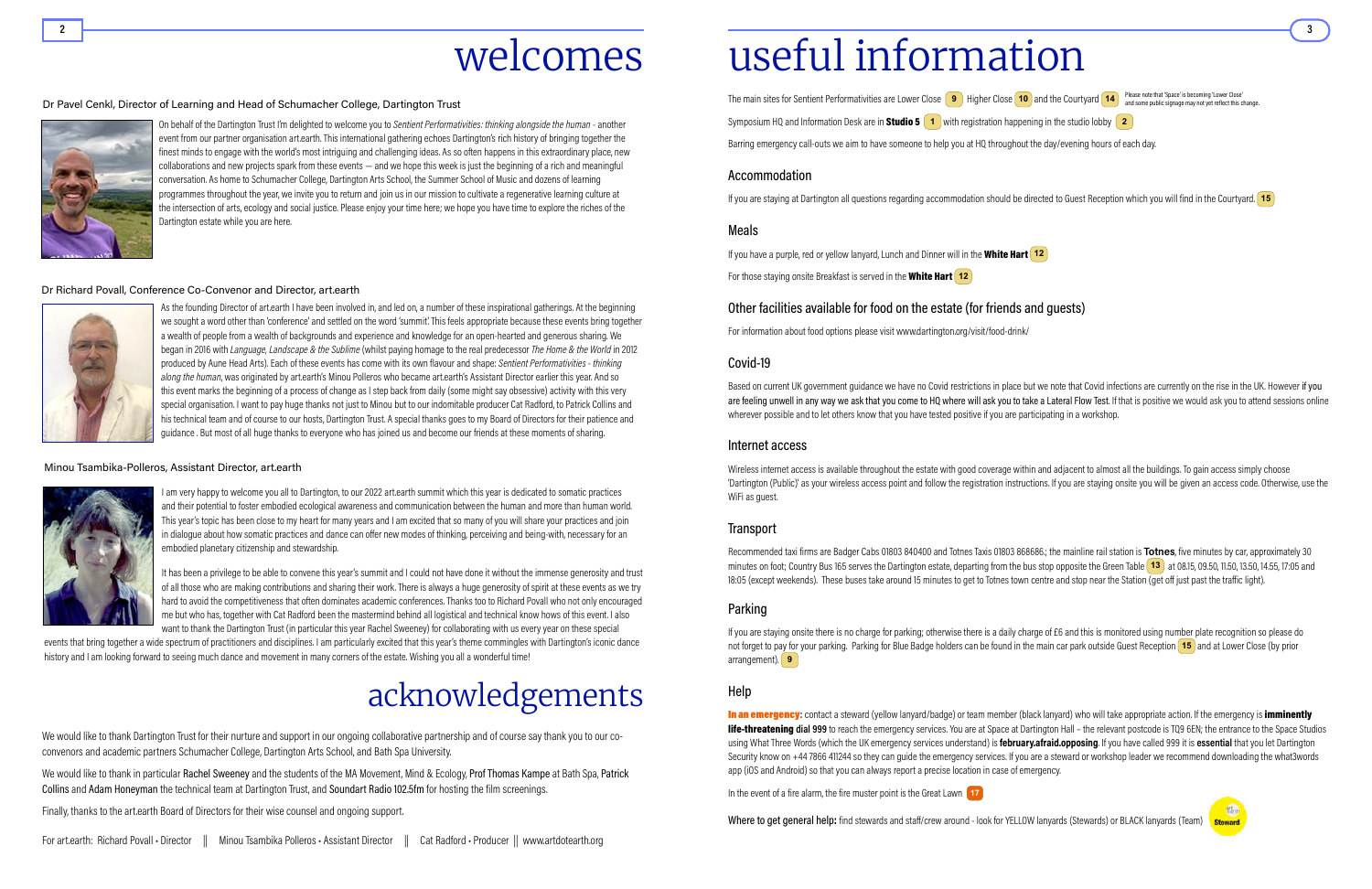## е произведения произведения с произведения с произведения с произведения с произведения с произведения с произ welcomes useful information

The main sites for Sentient Performativities are Lower Close **9** Higher Close **10** and the Courtyard **14** Please note that 'Space' is becoming 'Lower Close' Close' and some public signage may not yet reflect this c Symposium HQ and Information Desk are in **Studio 5 1** with registration happening in the studio lobby 2 Barring emergency call-outs we aim to have someone to help you at HQ throughout the day/evening hours of each day.

If you have a purple, red or yellow lanyard, Lunch and Dinner will in the White Hart **12** For those staying onsite Breakfast is served in the **White Hart** [12]

### Accommodation

If you are staying at Dartington all questions regarding accommodation should be directed to Guest Reception which you will find in the Courtyard. **15**

### Meals

Based on current UK government guidance we have no Covid restrictions in place but we note that Covid infections are currently on the rise in the UK. However if you are feeling unwell in any way we ask that you come to HQ where will ask you to take a Lateral Flow Test. If that is positive we would ask you to attend sessions online wherever possible and to let others know that you have tested positive if you are participating in a workshop.

### Other facilities available for food on the estate (for friends and guests)

For information about food options please visit [www.dartington.org/visit/food-drink/](https://www.dartington.org/visit/food-drink/)

### Covid-19

Recommended taxi firms are Badger Cabs 01803 840400 and Totnes Taxis 01803 868686; the mainline rail station is Totnes, five minutes by car, approximately 30 minutes on foot; Country Bus 165 serves the Dartington estate, departing from the bus stop opposite the Green Table **13** at 08.15, 09.50, 11.50, 13.50, 14.55, 17:05 and 18:05 (except weekends). These buses take around 15 minutes to get to Totnes town centre and stop near the Station (get off just past the traffic light).

#### Internet access

Wireless internet access is available throughout the estate with good coverage within and adjacent to almost all the buildings. To gain access simply choose 'Dartington (Public)' as your wireless access point and follow the registration instructions. If you are staying onsite you will be given an access code. Otherwise, use the WiFi as guest.

### **Transport**

In an emergency: contact a steward (yellow lanyard/badge) or team member (black lanyard) who will take appropriate action. If the emergency is imminently life-threatening dial 999 to reach the emergency services. You are at Space at Dartington Hall – the relevant postcode is TQ9 6EN; the entrance to the Space Studios using What Three Words (which the UK emergency services understand) is *february.afraid.opposing.* If you have called 999 it is essential that you let Dartington Security know on +44 7866 411244 so they can guide the emergency services. If you are a steward or workshop leader we recommend downloading the what3words app (iOS and Android) so that you can always report a precise location in case of emergency.

In the event of a fire alarm, the fire muster point is the Great Lawn **17** 

Where to get general help: find stewards and staff/crew around - look for YELLOW lanyards (Stewards) or BLACK lanyards (Team)

### Parking

If you are staying onsite there is no charge for parking; otherwise there is a daily charge of £6 and this is monitored using number plate recognition so please do not forget to pay for your parking. Parking for Blue Badge holders can be found in the main car park outside Guest Reception **15** and at Lower Close (by prior arrangement). **9**

#### Help

On behalf of the Dartington Trust I'm delighted to welcome you to Sentient Performativities: thinking alongside the human - another event from our partner organisation art.earth. This international gathering echoes Dartington's rich history of bringing together the finest minds to engage with the world's most intriguing and challenging ideas. As so often happens in this extraordinary place, new collaborations and new projects spark from these events — and we hope this week is just the beginning of a rich and meaningful conversation. As home to Schumacher College, Dartington Arts School, the Summer School of Music and dozens of learning programmes throughout the year, we invite you to return and join us in our mission to cultivate a regenerative learning culture at the intersection of arts, ecology and social justice. Please enjoy your time here; we hope you have time to explore the riches of the Dartington estate while you are here.

We would like to thank in particular Rachel Sweeney and the students of the MA Movement, Mind & Ecology, Prof Thomas Kampe at Bath Spa, Patrick Collins and Adam Honeyman the technical team at Dartington Trust, and Soundart Radio 102.5fm for hosting the film screenings.

As the founding Director of art.earth I have been involved in, and led on, a number of these inspirational gatherings. At the beginning we sought a word other than 'conference' and settled on the word 'summit'. This feels appropriate because these events bring together a wealth of people from a wealth of backgrounds and experience and knowledge for an open-hearted and generous sharing. We began in 2016 with Language, Landscape & the Sublime (whilst paying homage to the real predecessor The Home & the World in 2012 produced by Aune Head Arts). Each of these events has come with its own flavour and shape: Sentient Performativities - thinking along the human, was originated by art.earth's Minou Polleros who became art.earth's Assistant Director earlier this year. And so this event marks the beginning of a process of change as I step back from daily (some might say obsessive) activity with this very special organisation. I want to pay huge thanks not just to Minou but to our indomitable producer Cat Radford, to Patrick Collins and his technical team and of course to our hosts, Dartington Trust. A special thanks goes to my Board of Directors for their patience and guidance . But most of all huge thanks to everyone who has joined us and become our friends at these moments of sharing.

#### Minou Tsambika-Polleros, Assistant Director, art.earth



I am very happy to welcome you all to Dartington, to our 2022 art.earth summit which this year is dedicated to somatic practices and their potential to foster embodied ecological awareness and communication between the human and more than human world. This year's topic has been close to my heart for many years and I am excited that so many of you will share your practices and join in dialogue about how somatic practices and dance can offer new modes of thinking, perceiving and being-with, necessary for an embodied planetary citizenship and stewardship.

It has been a privilege to be able to convene this year's summit and I could not have done it without the immense generosity and trust of all those who are making contributions and sharing their work. There is always a huge generosity of spirit at these events as we try hard to avoid the competitiveness that often dominates academic conferences. Thanks too to Richard Povall who not only encouraged me but who has, together with Cat Radford been the mastermind behind all logistical and technical know hows of this event. I also want to thank the Dartington Trust (in particular this year Rachel Sweeney) for collaborating with us every year on these special

events that bring together a wide spectrum of practitioners and disciplines. I am particularly excited that this year's theme commingles with Dartington's iconic dance history and I am looking forward to seeing much dance and movement in many corners of the estate. Wishing you all a wonderful time!

### Dr Pavel Cenkl, Director of Learning and Head of Schumacher College, Dartington Trust



## acknowledgements

We would like to thank Dartington Trust for their nurture and support in our ongoing collaborative partnership and of course say thank you to our coconvenors and academic partners Schumacher College, Dartington Arts School, and Bath Spa University.

Finally, thanks to the art.earth Board of Directors for their wise counsel and ongoing support.

and some public signage may not yet reflect this change.



#### Dr Richard Povall, Conference Co-Convenor and Director, art.earth

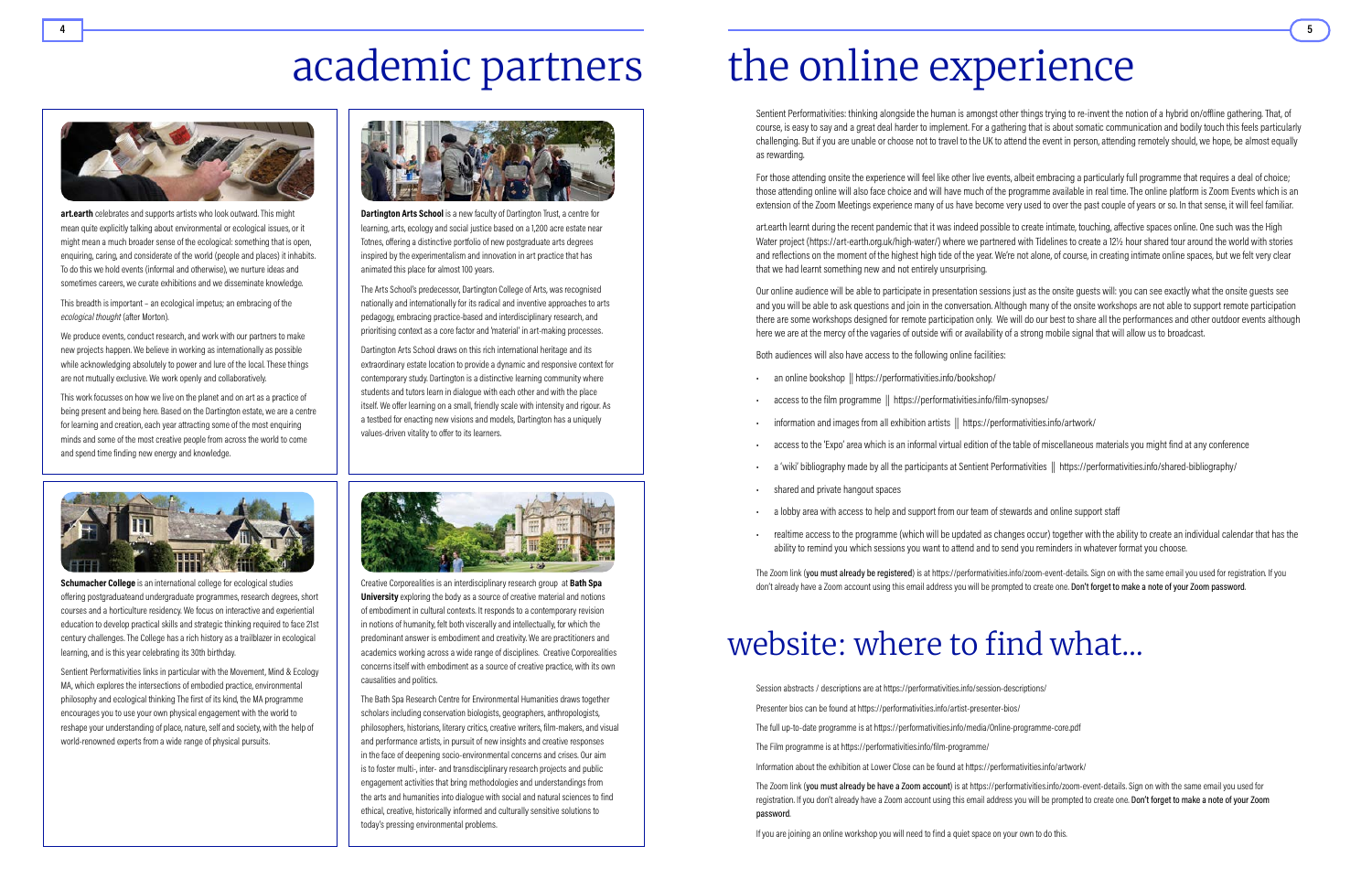**Dartington Arts School** is a new faculty of Dartington Trust, a centre for learning, arts, ecology and social justice based on a 1,200 acre estate near Totnes, offering a distinctive portfolio of new postgraduate arts degrees inspired by the experimentalism and innovation in art practice that has animated this place for almost 100 years.

The Arts School's predecessor, Dartington College of Arts, was recognised nationally and internationally for its radical and inventive approaches to arts pedagogy, embracing practice-based and interdisciplinary research, and prioritising context as a core factor and 'material' in art-making processes.

Dartington Arts School draws on this rich international heritage and its extraordinary estate location to provide a dynamic and responsive context for contemporary study. Dartington is a distinctive learning community where students and tutors learn in dialogue with each other and with the place itself. We offer learning on a small, friendly scale with intensity and rigour. As a testbed for enacting new visions and models, Dartington has a uniquely values-driven vitality to offer to its learners.



Creative Corporealities is an interdisciplinary research group at Bath Spa University exploring the body as a source of creative material and notions of embodiment in cultural contexts. It responds to a contemporary revision in notions of humanity, felt both viscerally and intellectually, for which the predominant answer is embodiment and creativity. We are practitioners and academics working across a wide range of disciplines. Creative Corporealities concerns itself with embodiment as a source of creative practice, with its own causalities and politics.



art.earth celebrates and supports artists who look outward. This might mean quite explicitly talking about environmental or ecological issues, or it might mean a much broader sense of the ecological: something that is open, enquiring, caring, and considerate of the world (people and places) it inhabits. To do this we hold events (informal and otherwise), we nurture ideas and sometimes careers, we curate exhibitions and we disseminate knowledge.

> The Bath Spa Research Centre for Environmental Humanities draws together scholars including conservation biologists, geographers, anthropologists, philosophers, historians, literary critics, creative writers, film-makers, and visual and performance artists, in pursuit of new insights and creative responses in the face of deepening socio-environmental concerns and crises. Our aim is to foster multi-, inter- and transdisciplinary research projects and public engagement activities that bring methodologies and understandings from the arts and humanities into dialogue with social and natural sciences to find ethical, creative, historically informed and culturally sensitive solutions to today's pressing environmental problems.

# academic partners the online experience

Schumacher College is an international college for ecological studies offering postgraduateand undergraduate programmes, research degrees, short courses and a horticulture residency. We focus on interactive and experiential education to develop practical skills and strategic thinking required to face 21st century challenges. The College has a rich history as a trailblazer in ecological learning, and is this year celebrating its 30th birthday.

Presenter bios can be found at<https://performativities.info/artist-presenter-bios/>

- Session abstracts / descriptions are at <https://performativities.info/session-descriptions/>
	-
- The full up-to-date programme is at<https://performativities.info/media/Online-programme-core.pdf>
	-
- Information about the exhibition at Lower Close can be found at https://performativities.info/artwork/

The Film programme is at https://performativities.info/film-programme/

Sentient Performativities: thinking alongside the human is amongst other things trying to re-invent the notion of a hybrid on/offline gathering. That, of course, is easy to say and a great deal harder to implement. For a gathering that is about somatic communication and bodily touch this feels particularly challenging. But if you are unable or choose not to travel to the UK to attend the event in person, attending remotely should, we hope, be almost equally as rewarding.

The Zoom link (you must already be have a Zoom account) is at https://performativities.info/zoom-event-details. Sign on with the same email you used for registration. If you don't already have a Zoom account using this email address you will be prompted to create one. Don't forget to make a note of your Zoom password.

If you are joining an online workshop you will need to find a quiet space on your own to do this.

This breadth is important – an ecological impetus; an embracing of the ecological thought (after Morton).

We produce events, conduct research, and work with our partners to make new projects happen. We believe in working as internationally as possible while acknowledging absolutely to power and lure of the local. These things are not mutually exclusive. We work openly and collaboratively.

- an online bookshop || <https://performativities.info/bookshop/>
- 
- information and images from all exhibition artists || <https://performativities.info/artwork/>
- access to the 'Expo' area which is an informal virtual edition of the table of miscellaneous materials you might find at any conference
- a 'wiki' bibliography made by all the participants at Sentient Performativities || <https://performativities.info/shared-bibliography/>
- shared and private hangout spaces
- a lobby area with access to help and support from our team of stewards and online support staff
- 

The Zoom link (you must already be registered) is at [https://performativities.info/zoom-event-details.](https://performativities.info/zoom-event-details) Sign on with the same email you used for registration. If you don't already have a Zoom account using this email address you will be prompted to create one. Don't forget to make a note of your Zoom password.

## website: where to find what...

This work focusses on how we live on the planet and on art as a practice of being present and being here. Based on the Dartington estate, we are a centre for learning and creation, each year attracting some of the most enquiring minds and some of the most creative people from across the world to come and spend time finding new energy and knowledge.



Sentient Performativities links in particular with the Movement, Mind & Ecology MA, which explores the intersections of embodied practice, environmental philosophy and ecological thinking The first of its kind, the MA programme encourages you to use your own physical engagement with the world to reshape your understanding of place, nature, self and society, with the help of world-renowned experts from a wide range of physical pursuits.



For those attending onsite the experience will feel like other live events, albeit embracing a particularly full programme that requires a deal of choice; those attending online will also face choice and will have much of the programme available in real time. The online platform is Zoom Events which is an extension of the Zoom Meetings experience many of us have become very used to over the past couple of years or so. In that sense, it will feel familiar.

art.earth learnt during the recent pandemic that it was indeed possible to create intimate, touching, affective spaces online. One such was the High Water project (https://art-earth.org.uk/high-water/) where we partnered with Tidelines to create a 12½ hour shared tour around the world with stories and reflections on the moment of the highest high tide of the year. We're not alone, of course, in creating intimate online spaces, but we felt very clear that we had learnt something new and not entirely unsurprising.

Our online audience will be able to participate in presentation sessions just as the onsite guests will: you can see exactly what the onsite guests see and you will be able to ask questions and join in the conversation. Although many of the onsite workshops are not able to support remote participation there are some workshops designed for remote participation only. We will do our best to share all the performances and other outdoor events although here we are at the mercy of the vagaries of outside wifi or availability of a strong mobile signal that will allow us to broadcast.

Both audiences will also have access to the following online facilities:

- access to the [film programme](https://performativities.info/film-synopses/) || <https://performativities.info/film-synopses/>
	-
- realtime access to the programme (which will be updated as changes occur) together with the ability to create an individual calendar that has the ability to remind you which sessions you want to attend and to send you reminders in whatever format you choose.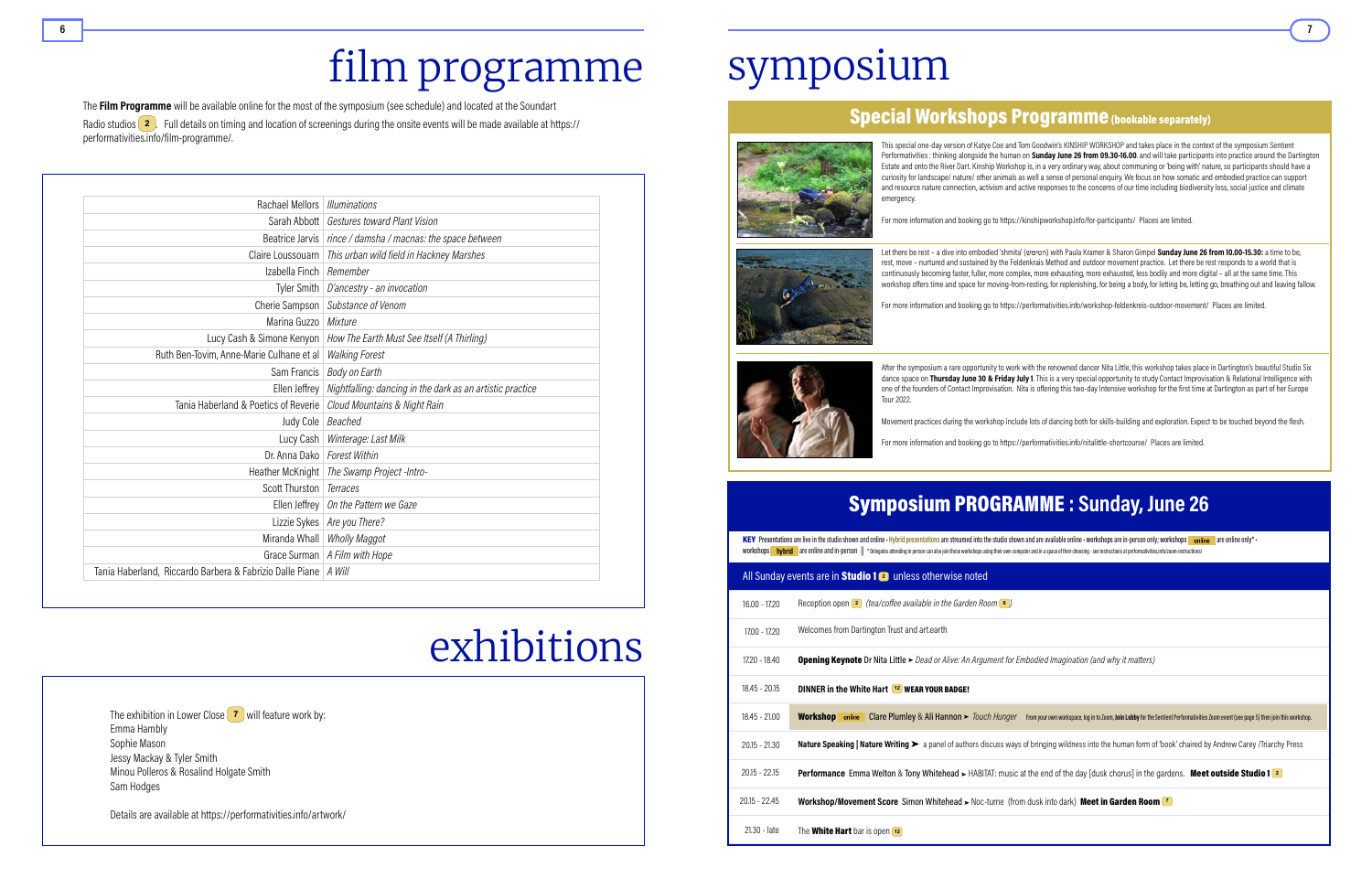|                 | <b>KEY</b> Presentations are live in the studio shown and online -<br>workshops <b>hybrid</b> are online and in-person    *Delegates |
|-----------------|--------------------------------------------------------------------------------------------------------------------------------------|
|                 | All Sunday events are in Studio 1 2                                                                                                  |
| $16.00 - 17.20$ | Reception open <sup>2</sup> (tea/co                                                                                                  |
| 17.00 - 17.20   | Welcomes from Dartington                                                                                                             |
| 17.20 - 18.40   | <b>Opening Keynote Dr Nita</b>                                                                                                       |
| $18.45 - 20.15$ | <b>DINNER in the White Hart</b>                                                                                                      |
| $18.45 - 21.00$ | <b>Workshop</b> online Clare                                                                                                         |
| $20.15 - 21.30$ | Nature Speaking   Nature V                                                                                                           |
| $20.15 - 22.15$ | Performance Emma Welt                                                                                                                |
| $20.15 - 22.45$ | <b>Workshop/Movement Sco</b>                                                                                                         |
| 21.30 - late    | The <b>White Hart</b> bar is oper                                                                                                    |

## Symposium PROGRAMME : Sunday, June 26

Hybrid presentations are streamed into the studio shown and are available online • workshops are in-person only; workshops **and inclusion** are online only\* • is attending in person can also ioin these workshops using their own computer and in a space of their choosing - see instructions at [performativities.info/zoom-instructions/](https://performativities.info/zoom-instructions/)

#### unless otherwise noted

**offee available in the Garden Room <b>6** )

Trust and art.earth

**Little ►** Dead or Alive: An Argument for Embodied Imagination (and why it matters)

#### **12** WEAR YOUR BADGE!

Plumley & [Ali Hannon](https://performativities.info/artist-presenter-bios#hannon)  $\triangleright$  [Touch Hunger](https://performativities.info/product/album/) From your own workspace, log in to Zoom, Join Lobby for the Sentient Performativities Zoom event (see page 5) then join this workshop.

Writing ► a panel of authors discuss ways of bringing wildness into the human form of 'book' chaired by [Andrew Carey](https://performativities.info/artist-presenter-bios#carey) /Triarchy Press

ton & Tony Whitehead ► HABITAT: music at the end of the day [dusk chorus] in the gardens. Meet outside Studio 1 **2** 

**ore [Simon Whitehead](https://performativities.info/artist-presenter-bios#whitehead) ►** [Noc-turne \(from dusk into dark\)](https://performativities.info/product/simon-whitehead-noc-turne-from-dusk-into-dark/) Meet in Garden Room 7

 $n\overline{12}$ 

# film programme

# exhibitions

# symposium







### Special Workshops Programme (bookable separately)

This special one-day version of Katye Coe and Tom Goodwin's KINSHIP WORKSHOP and takes place in the context of the symposium Sentient Performativities : thinking alongside the human on Sunday June 26 from 09.30-16.00. and will take participants into practice around the Dartington Estate and onto the River Dart. Kinship Workshop is, in a very ordinary way, about communing or 'being with' nature, so participants should have a curiosity for landscape/ nature/ other animals as well a sense of personal enquiry. We focus on how somatic and embodied practice can support and resource nature connection, activism and active responses to the concerns of our time including biodiversity loss, social justice and climate emergency.

For more information and booking go to<https://kinshipworkshop.info/for-participants/> Places are limited.

Let there be rest – a dive into embodied 'shmita' (הטימש (with Paula Kramer & Sharon Gimpel Sunday June 26 from 10.00-15.30: a time to be, rest, move – nurtured and sustained by the Feldenkrais Method and outdoor movement practice. Let there be rest responds to a world that is continuously becoming faster, fuller, more complex, more exhausting, more exhausted, less bodily and more digital – all at the same time. This workshop offers time and space for moving-from-resting, for replenishing, for being a body, for letting be, letting go, breathing out and leaving fallow.

The Film Programme will be available online for the most of the symposium (see schedule) and located at the Soundart Radio studios **2** . Full details on timing and location of screenings during the onsite events will be made available at [https://](https://performativities.info/film-programme/) [performativities.info/film-programme/](https://performativities.info/film-programme/).

For more information and booking go to<https://performativities.info/workshop-feldenkreis-outdoor-movement/>Places are limited.

After the symposium a rare opportunity to work with the renowned dancer Nita Little, this workshop takes place in Dartington's beautiful Studio Six dance space on Thursday June 30 & Friday July 1. This is a very special opportunity to study Contact Improvisation & Relational Intelligence with one of the founders of Contact Improvisation. Nita is offering this two-day Intensive workshop for the first time at Dartington as part of her Europe Tour 2022.

Movement practices during the workshop include lots of dancing both for skills-building and exploration. Expect to be touched beyond the flesh.

For more information and booking go to<https://performativities.info/nitalittle-shortcourse/>Places are limited.

| Rachael Mellors   Illuminations                                   |                                                                           |
|-------------------------------------------------------------------|---------------------------------------------------------------------------|
|                                                                   | Sarah Abbott   Gestures toward Plant Vision                               |
|                                                                   | Beatrice Jarvis   rince / damsha / macnas: the space between              |
|                                                                   | Claire Loussouarn   This urban wild field in Hackney Marshes              |
| Izabella Finch   Remember                                         |                                                                           |
|                                                                   | Tyler Smith $\mid$ D'ancestry - an invocation                             |
|                                                                   | Cherie Sampson   Substance of Venom                                       |
| Marina Guzzo   Mixture                                            |                                                                           |
|                                                                   | Lucy Cash & Simone Kenyon   How The Earth Must See Itself (A Thirling)    |
| Ruth Ben-Tovim, Anne-Marie Culhane et al                          | <b>Walking Forest</b>                                                     |
|                                                                   | Sam Francis   Body on Earth                                               |
|                                                                   | Ellen Jeffrey   Nightfalling: dancing in the dark as an artistic practice |
| Tania Haberland & Poetics of Reverie                              | Cloud Mountains & Night Rain                                              |
| Judy Cole   Beached                                               |                                                                           |
|                                                                   | Lucy Cash   Winterage: Last Milk                                          |
| Dr. Anna Dako   Forest Within                                     |                                                                           |
|                                                                   | Heather McKnight   The Swamp Project-Intro-                               |
| Scott Thurston   Terraces                                         |                                                                           |
|                                                                   | Ellen Jeffrey   On the Pattern we Gaze                                    |
|                                                                   | Lizzie Sykes   Are you There?                                             |
|                                                                   | Miranda Whall   Wholly Maggot                                             |
|                                                                   | Grace Surman   A Film with Hope                                           |
| Tania Haberland, Riccardo Barbera & Fabrizio Dalle Piane   A Will |                                                                           |

The exhibition in Lower Close **7** will feature work by: Emma Hambly Sophie Mason Jessy Mackay & Tyler Smith Minou Polleros & Rosalind Holgate Smith Sam Hodges

Details are available at <https://performativities.info/artwork/>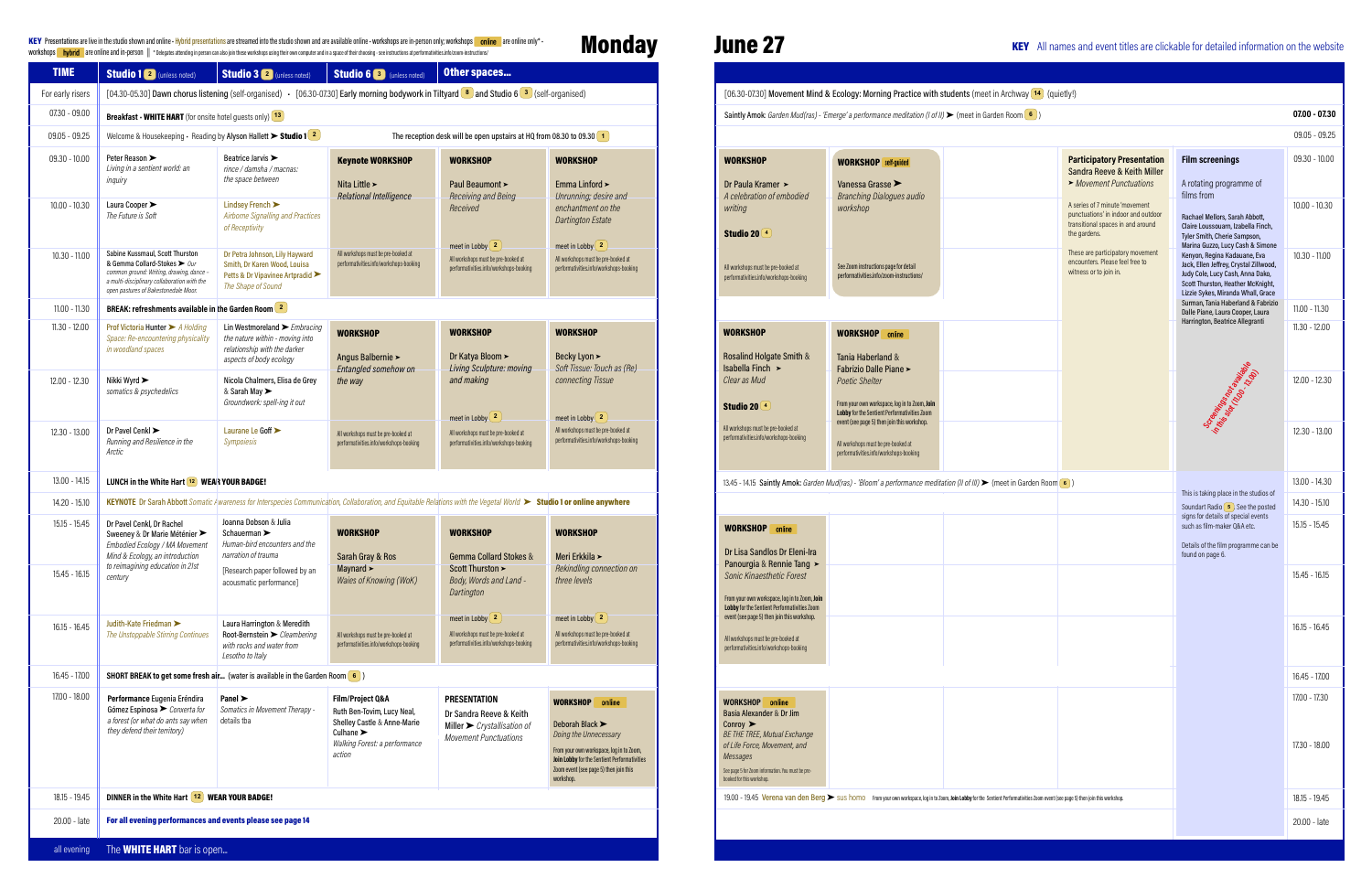#### KEY Presentations are live in the studio shown and online • Hybrid presentations are streamed into the studio shown and are available online • workshops are in-person only; workshops **online** are online only\* • workshops **are online and in-person**  $\|\cdot$  Delegates attending in person can also join these workshops using their own computer and in a space of their choosing - see instructions at performativities.info/zoom-instructions

### **Monday** June 27

| <b>WORKSHOP</b>                              | online |
|----------------------------------------------|--------|
| Basia Alexander & Dr Jim                     |        |
| Conroy $\blacktriangleright$                 |        |
| <b>BE THE TREE, Mutual Exchange</b>          |        |
| of Life Force, Movement, and                 |        |
| Messages                                     |        |
| Cannon E for Zoom information Vou must be no |        |

a van den Berg > sus homo From your o

| <b>TIME</b>      | <b>Studio 1</b> 2 (unless noted)                                                                                                                                                                   | <b>Studio 3</b> 2 (unless noted)                                                                                                                                      | <b>Studio 6</b> <sup>3</sup> (unless noted)                                                                                                               | <b>Other spaces</b>                                                                                                               |                                                                                                                                                                                                                                 |                                                                                                                                                                                                                                                            |
|------------------|----------------------------------------------------------------------------------------------------------------------------------------------------------------------------------------------------|-----------------------------------------------------------------------------------------------------------------------------------------------------------------------|-----------------------------------------------------------------------------------------------------------------------------------------------------------|-----------------------------------------------------------------------------------------------------------------------------------|---------------------------------------------------------------------------------------------------------------------------------------------------------------------------------------------------------------------------------|------------------------------------------------------------------------------------------------------------------------------------------------------------------------------------------------------------------------------------------------------------|
| For early risers |                                                                                                                                                                                                    | [04.30-05.30] Dawn chorus listening (self-organised) - [06.30-07.30] Early morning bodywork in Tiltyard $\binom{8}{3}$ and Studio 6 $\binom{3}{3}$ (self-organised)   |                                                                                                                                                           |                                                                                                                                   |                                                                                                                                                                                                                                 | [06.30-07.30] Movement M                                                                                                                                                                                                                                   |
| 07.30 - 09.00    | <b>Breakfast - WHITE HART</b> (for onsite hotel guests only) [13]                                                                                                                                  |                                                                                                                                                                       |                                                                                                                                                           |                                                                                                                                   |                                                                                                                                                                                                                                 | Saintly Amok: Garden Mud(ra                                                                                                                                                                                                                                |
| $09.05 - 09.25$  |                                                                                                                                                                                                    | Welcome & Housekeeping $\cdot$ Reading by Alyson Hallett $\blacktriangleright$ Studio 1 $\boxed{2}$                                                                   |                                                                                                                                                           | The reception desk will be open upstairs at HQ from 08.30 to 09.30 $(1)$                                                          |                                                                                                                                                                                                                                 |                                                                                                                                                                                                                                                            |
| $09.30 - 10.00$  | Peter Reason ▶<br>Living in a sentient world: an<br>inquiry                                                                                                                                        | Beatrice Jarvis ><br>rince / damsha / macnas:<br>the space between                                                                                                    | <b>Keynote WORKSHOP</b><br>Nita Little >                                                                                                                  | <b>WORKSHOP</b><br>Paul Beaumont >                                                                                                | <b>WORKSHOP</b><br>Emma Linford >                                                                                                                                                                                               | <b>WORKSHOP</b><br>Dr Paula Kramer ≻                                                                                                                                                                                                                       |
| $10.00 - 10.30$  | Laura Cooper ><br>The Future is Soft                                                                                                                                                               | Lindsey French ><br>Airborne Signalling and Practices<br>of Receptivity                                                                                               | <b>Relational Intelligence</b>                                                                                                                            | Receiving and Being<br>Received                                                                                                   | Unrunning; desire and<br>enchantment on the<br><b>Dartington Estate</b>                                                                                                                                                         | A celebration of embodied<br>writing<br>Studio 20 <sup>4</sup>                                                                                                                                                                                             |
| $10.30 - 11.00$  | Sabine Kussmaul, Scott Thurston<br>& Gemma Collard-Stokes > Our<br>common ground: Writing, drawing, dance -<br>a multi-disciplinary collaboration with the<br>open pastures of Bakestonedale Moor. | Dr Petra Johnson, Lily Hayward<br>Smith, Dr Karen Wood, Louisa<br>Petts & Dr Vipavinee Artpradid<br>The Shape of Sound                                                | All workshops must be pre-booked at<br>performativities.info/workshops-booking                                                                            | meet in Lobby $\begin{bmatrix} 2 \end{bmatrix}$<br>All workshops must be pre-booked at<br>performativities.info/workshops-booking | meet in Lobby $(2)$<br>All workshops must be pre-booked at<br>performativities.info/workshops-booking                                                                                                                           | All workshops must be pre-booked at<br>performativities.info/workshops-booking                                                                                                                                                                             |
| $11.00 - 11.30$  | BREAK: refreshments available in the Garden Room <sup>2</sup>                                                                                                                                      |                                                                                                                                                                       |                                                                                                                                                           |                                                                                                                                   |                                                                                                                                                                                                                                 |                                                                                                                                                                                                                                                            |
| 11.30 - 12.00    | Prof Victoria Hunter > A Holding<br>Space: Re-encountering physicality<br>in woodland spaces                                                                                                       | Lin Westmoreland $\blacktriangleright$ <i>Embracing</i><br>the nature within - moving into<br>relationship with the darker<br>aspects of body ecology                 | <b>WORKSHOP</b><br>Angus Balbernie >                                                                                                                      | <b>WORKSHOP</b><br>Dr Katya Bloom ≻<br>Living Sculpture: moving                                                                   | <b>WORKSHOP</b><br>Becky Lyon ><br>Soft Tissue: Touch as (Re)                                                                                                                                                                   | <b>WORKSHOP</b><br>Rosalind Holgate Smith &<br>Isabella Finch ≻                                                                                                                                                                                            |
| 12.00 - 12.30    | Nikki Wyrd ><br>somatics & psychedelics                                                                                                                                                            | Nicola Chalmers, Elisa de Grey<br>& Sarah May ><br>Groundwork: spell-ing it out                                                                                       | Entangled somehow on<br>the way                                                                                                                           | and making                                                                                                                        | connecting Tissue                                                                                                                                                                                                               | Clear as Mud<br>Studio 20 <sup>4</sup>                                                                                                                                                                                                                     |
| 12.30 - 13.00    | Dr Pavel Cenkl ▶<br>Running and Resilience in the<br>Arctic                                                                                                                                        | Laurane Le Goff ><br>Sympoiesis                                                                                                                                       | All workshops must be pre-booked at<br>performativities.info/workshops-booking                                                                            | meet in Lobby $\left(2\right)$<br>All workshops must be pre-booked at<br>performativities.info/workshops-booking                  | meet in Lobby $\begin{bmatrix} 2 \end{bmatrix}$<br>All workshops must be pre-booked at<br>performativities.info/workshops-booking                                                                                               | All workshops must be pre-booked at<br>performativities.info/workshops-booking                                                                                                                                                                             |
| 13.00 - 14.15    | LUNCH in the White Hart 12 WEAR YOUR BADGE!                                                                                                                                                        |                                                                                                                                                                       |                                                                                                                                                           |                                                                                                                                   |                                                                                                                                                                                                                                 | 13.45 - 14.15 Saintly Amok: Ga                                                                                                                                                                                                                             |
| 14.20 - 15.10    |                                                                                                                                                                                                    | KEYNOTE Dr Sarah Abbott Somatic Awareness for Interspecies Communication, Collaboration, and Equitable Relations with the Vegetal World ► Studio 1 or online anywhere |                                                                                                                                                           |                                                                                                                                   |                                                                                                                                                                                                                                 |                                                                                                                                                                                                                                                            |
| $15.15 - 15.45$  | Dr Pavel Cenkl, Dr Rachel<br>Sweeney & Dr Marie Méténier ><br>Embodied Ecology / MA Movement<br>Mind & Ecology, an introduction                                                                    | Joanna Dobson & Julia<br>Schauerman ><br>Human-bird encounters and the<br>narration of trauma                                                                         | <b>WORKSHOP</b><br>Sarah Gray & Ros                                                                                                                       | <b>WORKSHOP</b><br><b>Gemma Collard Stokes &amp;</b>                                                                              | <b>WORKSHOP</b><br>Meri Erkkila >                                                                                                                                                                                               | <b>WORKSHOP</b><br>online<br>Dr Lisa Sandlos Dr Eleni-I                                                                                                                                                                                                    |
| $15.45 - 16.15$  | to reimagining education in 21st<br>century                                                                                                                                                        | [Research paper followed by an<br>acousmatic performance]                                                                                                             | Maynard $\blacktriangleright$<br>Waies of Knowing (WoK)                                                                                                   | Scott Thurston ><br>Body, Words and Land -<br>Dartington                                                                          | Rekindling connection on<br>three levels                                                                                                                                                                                        | Panourgia & Rennie Tang<br>Sonic Kinaesthetic Forest<br>From your own workspace, log in to Zoom<br>Lobby for the Sentient Performativities Z                                                                                                               |
| $16.15 - 16.45$  | Judith-Kate Friedman<br>The Unstoppable Stirring Continues                                                                                                                                         | Laura Harrington & Meredith<br>Root-Bernstein > Cleambering<br>with rocks and water from<br>Lesotho to Italy                                                          | All workshops must be pre-booked at<br>performativities.info/workshops-booking                                                                            | meet in Lobby $\begin{bmatrix} 2 \end{bmatrix}$<br>All workshops must be pre-booked at<br>performativities.info/workshops-booking | meet in Lobby $\begin{bmatrix} 2 \end{bmatrix}$<br>All workshops must be pre-booked at<br>performativities.info/workshops-booking                                                                                               | event (see page 5) then join this worksho<br>All workshops must be pre-booked at<br>performativities.info/workshops-booking                                                                                                                                |
| 16.45 - 17.00    |                                                                                                                                                                                                    | SHORT BREAK to get some fresh air (water is available in the Garden Room 6)                                                                                           |                                                                                                                                                           |                                                                                                                                   |                                                                                                                                                                                                                                 |                                                                                                                                                                                                                                                            |
| 17.00 - 18.00    | Performance Eugenia Eréndira<br>Gómez Espinosa > Conxerta for<br>a forest (or what do ants say when<br>they defend their territory)                                                                | Panel $\blacktriangleright$<br>Somatics in Movement Therapy -<br>details tba                                                                                          | Film/Project Q&A<br>Ruth Ben-Tovim, Lucy Neal,<br>Shelley Castle & Anne-Marie<br>Culhane $\blacktriangleright$<br>Walking Forest: a performance<br>action | <b>PRESENTATION</b><br>Dr Sandra Reeve & Keith<br>Miller $\triangleright$ Crystallisation of<br><b>Movement Punctuations</b>      | <b>WORKSHOP</b><br>online<br>Deborah Black ><br>Doing the Unnecessary<br>From your own workspace, log in to Zoom,<br><b>Join Lobby for the Sentient Performativities</b><br>Zoom event (see page 5) then join this<br>workshop. | online<br><b>WORKSHOP</b><br>Basia Alexander & Dr Jim<br>Conroy $\blacktriangleright$<br><b>BE THE TREE, Mutual Exchange</b><br>of Life Force, Movement, and<br>Messages<br>See page 5 for Zoom information. You must be pre-<br>booked for this workshop. |
| 18.15 - 19.45    | DINNER in the White Hart [12] WEAR YOUR BADGE!                                                                                                                                                     |                                                                                                                                                                       |                                                                                                                                                           |                                                                                                                                   |                                                                                                                                                                                                                                 | 19.00 - 19.45 Verena van den                                                                                                                                                                                                                               |
| 20.00 - late     | For all evening performances and events please see page 14                                                                                                                                         |                                                                                                                                                                       |                                                                                                                                                           |                                                                                                                                   |                                                                                                                                                                                                                                 |                                                                                                                                                                                                                                                            |

### vement Mind & Ecology: Morning 1 [Amok](https://performativities.info/artist-presenter-bios/#solanky): Garden Mud(ras) - 'Bloom' a per mbodied hooked at hops-booking Pose [Smith](http://performativities.info/artist-presenter-bios/#holgatesmith) & ooked at pops-booking den Mud(ras) - 'Emerge' a performance <sub>i</sub> WORKSHOP<sup>3</sup> [Vanessa Grasse](https://performativities.info/artist-presenter-bios/#grasse) **Branching Dialog** workshop See Zoom instructions pa performativities.info/zoo WORKSHOP Tania [Haberland](http://performativities.info/artist-presenter-bios/#haberland) Fabrizio [Dalle](http://performativities.info/artist-presenter-bios#dallepiane) Pi Poetic Shelter From your own workspac Lobby for the Sentient Per event (see page 5) then jo All workshops must be pre performativities.info/work

Dr Eleni-Ira nnie Tang ≻ c Forest log in to Zoom, **Join** rom<br>formativities Zoom n this workshop.

|                                                                                                             | orning Practice with students (meet in Archway [14] (quietly!)                                                                         |                                                                                                                                                                                                                             |                                                                                                                                                                                                                                                                                                                                                 |                                    |
|-------------------------------------------------------------------------------------------------------------|----------------------------------------------------------------------------------------------------------------------------------------|-----------------------------------------------------------------------------------------------------------------------------------------------------------------------------------------------------------------------------|-------------------------------------------------------------------------------------------------------------------------------------------------------------------------------------------------------------------------------------------------------------------------------------------------------------------------------------------------|------------------------------------|
|                                                                                                             | mance meditation (I of II) $\blacktriangleright$ (meet in Garden Room $\boxed{6}$ )                                                    |                                                                                                                                                                                                                             |                                                                                                                                                                                                                                                                                                                                                 | $07.00 - 07.30$                    |
|                                                                                                             |                                                                                                                                        |                                                                                                                                                                                                                             |                                                                                                                                                                                                                                                                                                                                                 | $09.05 - 09.25$                    |
| P self-guided<br>rasse $\blacktriangleright$                                                                |                                                                                                                                        | <b>Participatory Presentation</b><br>Sandra Reeve & Keith Miller<br>Movement Punctuations                                                                                                                                   | <b>Film screenings</b><br>A rotating programme of                                                                                                                                                                                                                                                                                               | $09.30 - 10.00$                    |
| Dialogues audio<br>ctions page for detail<br>info/zoom-instructions/                                        |                                                                                                                                        | A series of 7 minute 'movement<br>punctuations' in indoor and outdoor<br>transitional spaces in and around<br>the gardens.<br>These are participatory movement<br>encounters. Please feel free to<br>witness or to join in. | films from<br>Rachael Mellors, Sarah Abbott,<br>Claire Loussouarn, Izabella Finch,<br>Tyler Smith, Cherie Sampson,<br>Marina Guzzo, Lucy Cash & Simone<br>Kenyon, Regina Kadauane, Eva<br>Jack, Ellen Jeffrey, Crystal Zillwood,<br>Judy Cole, Lucy Cash, Anna Dako,<br>Scott Thurston, Heather McKnight,<br>Lizzie Sykes, Miranda Whall, Grace | $10.00 - 10.30$<br>$10.30 - 11.00$ |
|                                                                                                             |                                                                                                                                        |                                                                                                                                                                                                                             | Surman, Tania Haberland & Fabrizio<br>Dalle Piane, Laura Cooper, Laura                                                                                                                                                                                                                                                                          | $11.00 - 11.30$                    |
| )P<br>online<br>erland &                                                                                    |                                                                                                                                        |                                                                                                                                                                                                                             | Harrington, Beatrice Allegranti                                                                                                                                                                                                                                                                                                                 | $11.30 - 12.00$                    |
| alle Piane $\blacktriangleright$<br>lter<br>rorkspace, log in to Zoom, Join<br>ntient Performativities Zoom |                                                                                                                                        |                                                                                                                                                                                                                             | Screening Reserves                                                                                                                                                                                                                                                                                                                              | 12.00 - 12.30                      |
| 5) then join this workshop.<br>st be pre-booked at<br>nfo/workshops-booking                                 |                                                                                                                                        |                                                                                                                                                                                                                             |                                                                                                                                                                                                                                                                                                                                                 | 12.30 - 13.00                      |
|                                                                                                             | $m'$ a performance meditation (II of III) $\blacktriangleright$ (meet in Garden Room $\boxed{\bullet}$ )                               |                                                                                                                                                                                                                             |                                                                                                                                                                                                                                                                                                                                                 | 13.00 - 14.30                      |
|                                                                                                             |                                                                                                                                        |                                                                                                                                                                                                                             | This is taking place in the studios of<br>Soundart Radio 5. See the posted<br>signs for details of special events<br>such as film-maker Q&A etc.<br>Details of the film programme can be<br>found on page 6.                                                                                                                                    | 14.30 - 15.10<br>$15.15 - 15.45$   |
|                                                                                                             |                                                                                                                                        |                                                                                                                                                                                                                             |                                                                                                                                                                                                                                                                                                                                                 | $15.45 - 16.15$                    |
|                                                                                                             |                                                                                                                                        |                                                                                                                                                                                                                             |                                                                                                                                                                                                                                                                                                                                                 | $16.15 - 16.45$                    |
|                                                                                                             |                                                                                                                                        |                                                                                                                                                                                                                             |                                                                                                                                                                                                                                                                                                                                                 | 16.45 - 17.00                      |
|                                                                                                             |                                                                                                                                        |                                                                                                                                                                                                                             |                                                                                                                                                                                                                                                                                                                                                 | 17.00 - 17.30<br>17.30 - 18.00     |
|                                                                                                             | From your own workspace, log in to Zoom, Join Lobby for the Sentient Performativities Zoom event (see page 5) then join this workshop. |                                                                                                                                                                                                                             |                                                                                                                                                                                                                                                                                                                                                 | 18.15 - 19.45                      |
|                                                                                                             |                                                                                                                                        |                                                                                                                                                                                                                             |                                                                                                                                                                                                                                                                                                                                                 | 20.00 - late                       |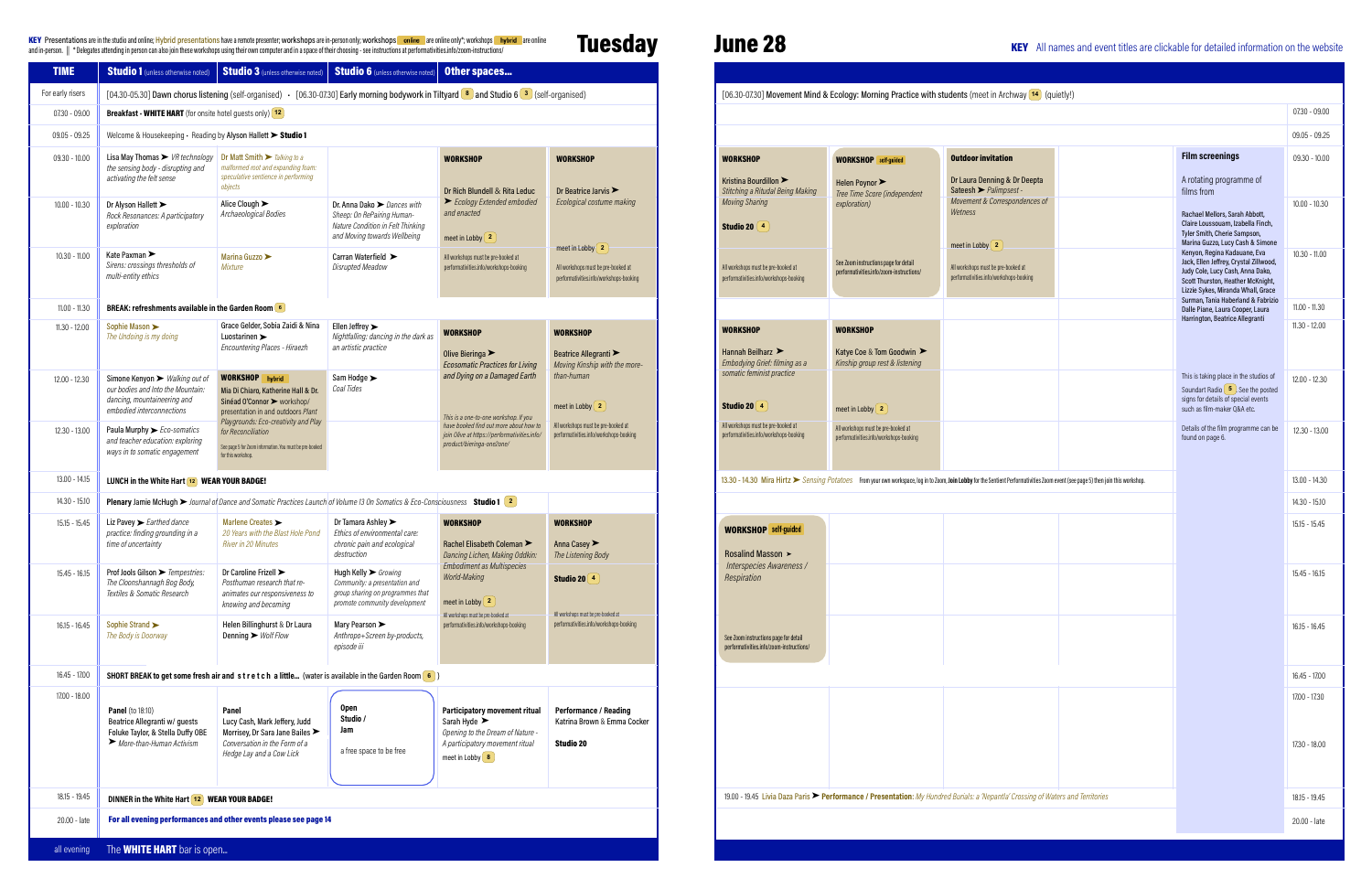KEY Presentations are in the studio and online; Hybrid presentations have a remote presentations have a remote presenter; workshops are in-person only; workshops are in-person only; workshops are in-person only; workshops

## **Tuesday**

## June 28

| <b>TIME</b>      | <b>Studio 1</b> (unless otherwise noted)                                                                                                   | Studio 3 (unless otherwise noted)                                                                                                                         | <b>Studio 6</b> (unless otherwise noted)                                                                                                  | <b>Other spaces</b>                                                                                                                                           |                                                                                 |                                                                                           |                                                                                   |                                                                                                                                                                                  |                                                                                                                                                                                       |                                |
|------------------|--------------------------------------------------------------------------------------------------------------------------------------------|-----------------------------------------------------------------------------------------------------------------------------------------------------------|-------------------------------------------------------------------------------------------------------------------------------------------|---------------------------------------------------------------------------------------------------------------------------------------------------------------|---------------------------------------------------------------------------------|-------------------------------------------------------------------------------------------|-----------------------------------------------------------------------------------|----------------------------------------------------------------------------------------------------------------------------------------------------------------------------------|---------------------------------------------------------------------------------------------------------------------------------------------------------------------------------------|--------------------------------|
| For early risers |                                                                                                                                            | [04.30-05.30] Dawn chorus listening (self-organised) · [06.30-07.30] Early morning bodywork in Tiltyard 8 and Studio 6 3 (self-organised)                 |                                                                                                                                           |                                                                                                                                                               |                                                                                 |                                                                                           |                                                                                   | [06.30-07.30] Movement Mind & Ecology: Morning Practice with students (meet in Archway [14] (quietly!)                                                                           |                                                                                                                                                                                       |                                |
| 07.30 - 09.00    | <b>Breakfast - WHITE HART</b> (for onsite hotel guests only) $(12)$                                                                        |                                                                                                                                                           |                                                                                                                                           |                                                                                                                                                               |                                                                                 |                                                                                           |                                                                                   |                                                                                                                                                                                  |                                                                                                                                                                                       | $07.30 - 09.00$                |
| 09.05 - 09.25    | Welcome & Housekeeping · Reading by Alyson Hallett > Studio 1                                                                              |                                                                                                                                                           |                                                                                                                                           |                                                                                                                                                               |                                                                                 |                                                                                           |                                                                                   |                                                                                                                                                                                  |                                                                                                                                                                                       | $09.05 - 09.25$                |
| 09.30 - 10.00    | Lisa May Thomas $\triangleright$ VR technology Dr Matt Smith $\triangleright$ Talking to a                                                 |                                                                                                                                                           |                                                                                                                                           | <b>WORKSHOP</b>                                                                                                                                               | <b>WORKSHOP</b>                                                                 | <b>WORKSHOP</b>                                                                           | <b>WORKSHOP</b> self-guided                                                       | <b>Outdoor invitation</b>                                                                                                                                                        | <b>Film screenings</b>                                                                                                                                                                | $09.30 - 10.00$                |
|                  | the sensing body - disrupting and<br>activating the felt sense                                                                             | malformed root and expanding foam:<br>speculative sentience in performing<br>obiects                                                                      |                                                                                                                                           | Dr Rich Blundell & Rita Leduc                                                                                                                                 | Dr Beatrice Jarvis $\blacktriangleright$                                        | Kristina Bourdillon ><br>Stitching a Ritudal Being Making                                 | Helen Poynor<br>Tree Time Score (independent                                      | Dr Laura Denning & Dr Deepta<br>Sateesh > Palimpsest                                                                                                                             | A rotating programme of<br>films from                                                                                                                                                 |                                |
| $10.00 - 10.30$  | Dr Alyson Hallett ><br>Rock Resonances: A participatory<br>exploration                                                                     | Alice Clough $\blacktriangleright$<br>Archaeological Bodies                                                                                               | Dr. Anna Dako > Dances with<br>Sheep: On RePairing Human-<br>Nature Condition in Felt Thinking                                            | Ecology Extended embodied<br>and enacted                                                                                                                      | Ecological costume making                                                       | Moving Sharing<br>Studio 20 $\left(4\right)$                                              | exploration)                                                                      | Movement & Correspondences of<br>Wetness                                                                                                                                         | Rachael Mellors, Sarah Abbott,<br>Claire Loussouarn, Izabella Finch,                                                                                                                  | $10.00 - 10.30$                |
|                  |                                                                                                                                            |                                                                                                                                                           | and Moving towards Wellbeing                                                                                                              | meet in Lobby $\left( 2 \right)$                                                                                                                              | meet in Lobby $\left( 2 \right)$                                                |                                                                                           |                                                                                   | meet in Lobby $\left( 2 \right)$                                                                                                                                                 | Tyler Smith, Cherie Sampson,<br>Marina Guzzo, Lucy Cash & Simone                                                                                                                      |                                |
| $10.30 - 11.00$  | Kate Paxman ▶<br>Sirens: crossings thresholds of<br>multi-entity ethics                                                                    | Marina Guzzo<br><i>Mixture</i>                                                                                                                            | Carran Waterfield ><br>Disrupted Meadow                                                                                                   | All workshops must be pre-booked at<br>performativities.info/workshops-booking                                                                                | All workshops must be pre-booked at<br>performativities.info/workshops-booking  | All workshops must be pre-booked at<br>performativities.info/workshops-booking            | See Zoom instructions page for detail<br>performativities.info/zoom-instructions/ | All workshops must be pre-booked at<br>performativities.info/workshops-booking                                                                                                   | Kenyon, Regina Kadauane, Eva<br>Jack, Ellen Jeffrey, Crystal Zillwood,<br>Judy Cole, Lucy Cash, Anna Dako,<br>Scott Thurston, Heather McKnight,<br>Lizzie Sykes, Miranda Whall, Grace | $10.30 - 11.00$                |
| $11.00 - 11.30$  | BREAK: refreshments available in the Garden Room 6                                                                                         |                                                                                                                                                           |                                                                                                                                           |                                                                                                                                                               |                                                                                 |                                                                                           |                                                                                   |                                                                                                                                                                                  | Surman, Tania Haberland & Fabrizio<br>Dalle Piane, Laura Cooper, Laura<br>Harrington, Beatrice Allegranti                                                                             | $11.00 - 11.30$                |
| $11.30 - 12.00$  | Sophie Mason ><br>The Undoing is my doing                                                                                                  | Grace Gelder, Sobia Zaidi & Nina<br>Luostarinen ><br><b>Encountering Places - Hiraezh</b>                                                                 | Ellen Jeffrey $\blacktriangleright$<br>Nightfalling: dancing in the dark as<br>an artistic practice                                       | <b>WORKSHOP</b><br>Olive Bieringa $\blacktriangleright$<br><b>Ecosomatic Practices for Living</b>                                                             | <b>WORKSHOP</b><br>Beatrice Allegranti<br>Moving Kinship with the more-         | <b>WORKSHOP</b><br>Hannah Beilharz $\blacktriangleright$<br>Embodying Grief: filming as a | <b>WORKSHOP</b><br>Katye Coe & Tom Goodwin ▶<br>Kinship group rest & listening    |                                                                                                                                                                                  |                                                                                                                                                                                       | $11.30 - 12.00$                |
| 12.00 - 12.30    | Simone Kenyon > Walking out of<br>our bodies and Into the Mountain:<br>dancing, mountaineering and<br>embodied interconnections            | <b>WORKSHOP</b> hybrid<br>Mia Di Chiaro, Katherine Hall & Dr.<br>Sinéad O'Connor > workshop/<br>presentation in and outdoors Plant                        | Sam Hodge ><br>Coal Tides                                                                                                                 | and Dying on a Damaged Earth<br>This is a one-to-one workshop. If you                                                                                         | than-human<br>meet in Lobby $\left( 2 \right)$                                  | somatic feminist practice<br>Studio 20 4                                                  | meet in Lobby $\left( 2 \right)$                                                  |                                                                                                                                                                                  | This is taking place in the studios of<br>Soundart Radio $\begin{pmatrix} 5 \end{pmatrix}$ . See the posted<br>signs for details of special events<br>such as film-maker 0&A etc.     | $12.00 - 12.30$                |
| 12.30 - 13.00    | Paula Murphy > Eco-somatics<br>and teacher education: exploring<br>ways in to somatic engagement                                           | Playgrounds: Eco-creativity and Play<br>for Reconciliation<br>See page 5 for Zoom information. You must be pre-booked<br>for this workshop.               |                                                                                                                                           | have booked find out more about how to<br>join Olive at https://performativities.info/<br>product/bieringa-one2one/                                           | All workshops must be pre-booked at<br>performativities.info/workshops-booking  | All workshops must be pre-booked at<br>performativities.info/workshops-booking            | All workshops must be pre-booked at<br>performativities.info/workshops-booking    |                                                                                                                                                                                  | Details of the film programme can be<br>found on page 6.                                                                                                                              | 12.30 - 13.00                  |
| 13.00 - 14.15    | LUNCH in the White Hart $\sqrt{12}$ WEAR YOUR BADGE!                                                                                       |                                                                                                                                                           |                                                                                                                                           |                                                                                                                                                               |                                                                                 |                                                                                           |                                                                                   | 13.30 - 14.30 Mira Hirtz Sensing Potatoes From your own workspace, log in to Zoom, Join Lobby for the Sentient Performativities Zoom event (see page 5) then join this workshop. |                                                                                                                                                                                       | 13.00 - 14.30                  |
| 14.30 - 15.10    |                                                                                                                                            | <b>Plenary</b> Jamie McHugh $\triangleright$ Journal of Dance and Somatic Practices Launch of Volume 13 On Somatics & Eco-Consciousness <b>Studio 1</b> 2 |                                                                                                                                           |                                                                                                                                                               |                                                                                 |                                                                                           |                                                                                   |                                                                                                                                                                                  |                                                                                                                                                                                       | 14.30 - 15.10                  |
| 15.15 - 15.45    | Liz Pavey $\blacktriangleright$ Earthed dance<br>practice: finding grounding in a<br>time of uncertainty                                   | Marlene Creates ><br>20 Years with the Blast Hole Pond<br>River in 20 Minutes                                                                             | Dr Tamara Ashley $\blacktriangleright$<br>Ethics of environmental care:<br>chronic pain and ecological<br>destruction                     | <b>WORKSHOP</b><br>Rachel Elisabeth Coleman<br>Dancing Lichen, Making Oddkin:                                                                                 | <b>WORKSHOP</b><br>Anna Casey<br>The Listening Body                             | <b>WORKSHOP</b> self-guided<br>Rosalind Masson >                                          |                                                                                   |                                                                                                                                                                                  |                                                                                                                                                                                       | $15.15 - 15.45$                |
| 15.45 - 16.15    | Prof Jools Gilson > Tempestries:<br>The Cloonshannagh Bog Body,<br>Textiles & Somatic Research                                             | Dr Caroline Frizell ><br>Posthuman research that re-<br>animates our responsiveness to<br>knowing and becoming                                            | Hugh Kelly $\triangleright$ Growing<br>Community: a presentation and<br>group sharing on programmes that<br>promote community development | <b>Embodiment as Multispecies</b><br>World-Making<br>meet in Lobby $\begin{bmatrix} 2 \end{bmatrix}$                                                          | Studio 20 $(4)$                                                                 | Interspecies Awareness /<br>Respiration                                                   |                                                                                   |                                                                                                                                                                                  |                                                                                                                                                                                       | 15.45 - 16.15                  |
| 16.15 - 16.45    | Sophie Strand<br>The Body is Doorway                                                                                                       | Helen Billinghurst & Dr Laura<br>Denning $\triangleright$ Wolf Flow                                                                                       | Mary Pearson ><br>Anthropo+Screen by-products,<br>episode iii                                                                             | All workshops must be pre-booked at<br>performativities.info/workshops-booking                                                                                | All workshops must be pre-booked at<br>performativities.info/workshops-booking  | See Zoom instructions page for detail<br>performativities.info/zoom-instructions/         |                                                                                   |                                                                                                                                                                                  |                                                                                                                                                                                       | 16.15 - 16.45                  |
| 16.45 - 17.00    |                                                                                                                                            | <b>SHORT BREAK to get some fresh air and stretch a little</b> (water is available in the Garden Room $\begin{bmatrix} 6 \\ 9 \end{bmatrix}$ )             |                                                                                                                                           |                                                                                                                                                               |                                                                                 |                                                                                           |                                                                                   |                                                                                                                                                                                  |                                                                                                                                                                                       | 16.45 - 17.00                  |
| 17.00 - 18.00    | <b>Panel</b> (to 18:10)<br>Beatrice Allegranti w/ guests<br>Foluke Taylor, & Stella Duffy OBE<br>$\triangleright$ More-than-Human Activism | Panel<br>Lucy Cash, Mark Jeffery, Judd<br>Morrisey, Dr Sara Jane Bailes<br>Conversation in the Form of a<br>Hedge Lay and a Cow Lick                      | <b>Open</b><br>Studio /<br>Jam<br>a free space to be free                                                                                 | Participatory movement ritual<br>Sarah Hyde $\blacktriangleright$<br>Opening to the Dream of Nature -<br>A participatory movement ritual<br>meet in Lobby $8$ | <b>Performance / Reading</b><br>Katrina Brown & Emma Cocker<br><b>Studio 20</b> |                                                                                           |                                                                                   |                                                                                                                                                                                  |                                                                                                                                                                                       | 17.00 - 17.30<br>17.30 - 18.00 |
| 18.15 - 19.45    | DINNER in the White Hart 12 WEAR YOUR BADGE!                                                                                               |                                                                                                                                                           |                                                                                                                                           |                                                                                                                                                               |                                                                                 |                                                                                           |                                                                                   | 19.00 - 19.45 Livia Daza Paris ► Performance / Presentation: My Hundred Burials: a 'Nepantla' Crossing of Waters and Territories                                                 |                                                                                                                                                                                       | 18.15 - 19.45                  |
| 20.00 - late     |                                                                                                                                            | For all evening performances and other events please see page 14                                                                                          |                                                                                                                                           |                                                                                                                                                               |                                                                                 |                                                                                           |                                                                                   |                                                                                                                                                                                  |                                                                                                                                                                                       | 20.00 - late                   |
| all evening      | The <b>WHITE HART</b> bar is open                                                                                                          |                                                                                                                                                           |                                                                                                                                           |                                                                                                                                                               |                                                                                 |                                                                                           |                                                                                   |                                                                                                                                                                                  |                                                                                                                                                                                       |                                |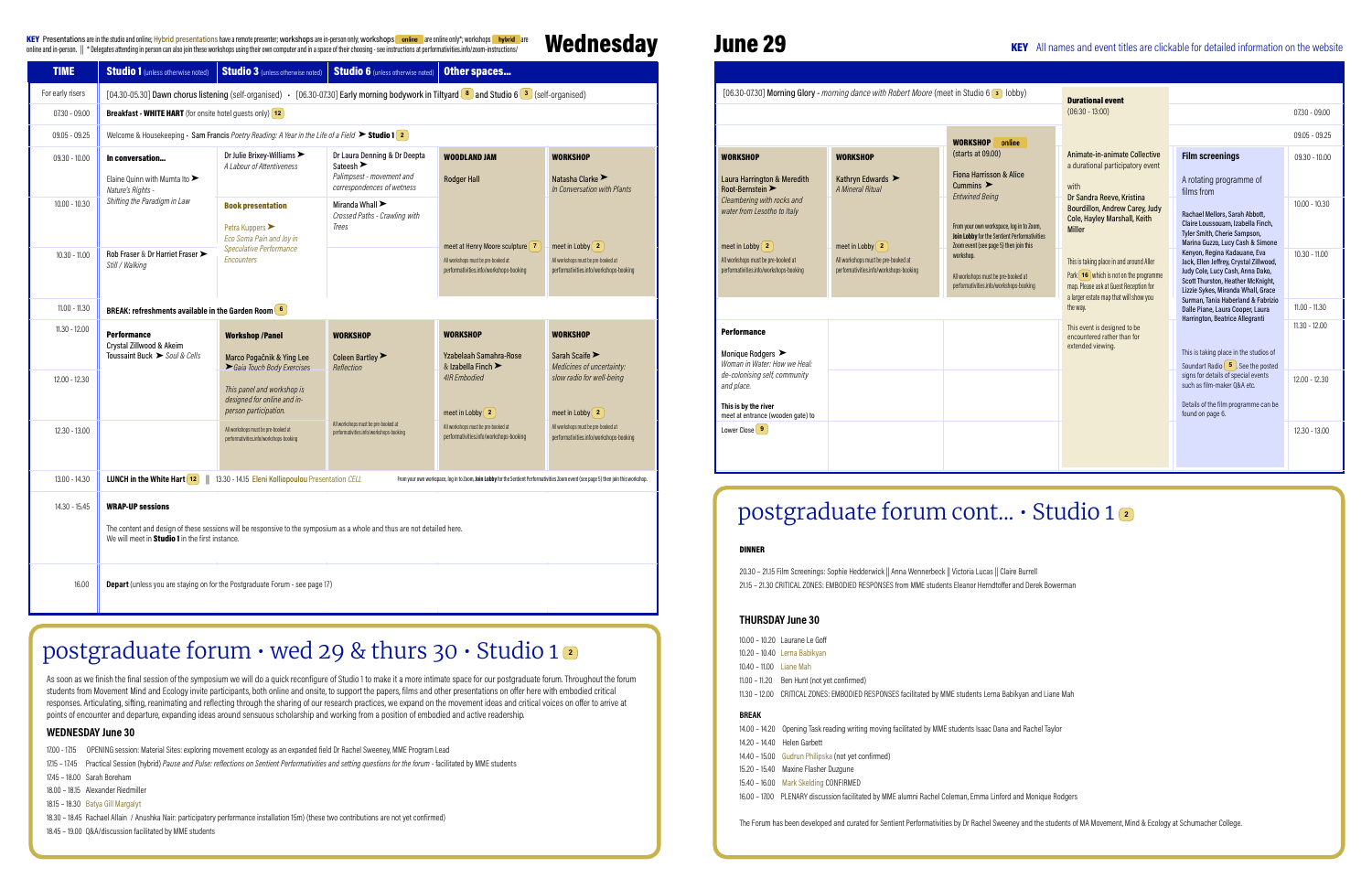**Wednesday** KEY Presentations are in the studio and online; Hybrid presentations have a remote presenter; workshops are in-person only; workshops **online** are online only\*; workshops **hybrid** are  $\blacksquare$ 

## June 29

|                             | Robert Moore (meet in Studio 6 3 lobby)                                                                                                   | <b>Durational event</b>                                                                                                                                                   |                                                                                                                                                                                       |                                    |
|-----------------------------|-------------------------------------------------------------------------------------------------------------------------------------------|---------------------------------------------------------------------------------------------------------------------------------------------------------------------------|---------------------------------------------------------------------------------------------------------------------------------------------------------------------------------------|------------------------------------|
|                             |                                                                                                                                           | $(06:30 - 13:00)$                                                                                                                                                         |                                                                                                                                                                                       | $07.30 - 09.00$                    |
|                             | online<br><b>WORKSHOP</b>                                                                                                                 |                                                                                                                                                                           |                                                                                                                                                                                       | $09.05 - 09.25$                    |
|                             | (starts at 09.00)<br><b>Fiona Harrisson &amp; Alice</b><br>Cummins $\blacktriangleright$<br><b>Entwined Being</b>                         | Animate-in-animate Collective<br>a durational participatory event<br>with<br>Dr Sandra Reeve, Kristina<br>Bourdillon, Andrew Carey, Judy                                  | <b>Film screenings</b><br>A rotating programme of<br>films from                                                                                                                       | $09.30 - 10.00$<br>$10.00 - 10.30$ |
|                             | From your own workspace, log in to Zoom,<br><b>Join Lobby for the Sentient Performativities</b><br>Zoom event (see page 5) then join this | Cole, Hayley Marshall, Keith<br><b>Miller</b>                                                                                                                             | Rachael Mellors, Sarah Abbott,<br>Claire Loussouarn, Izabella Finch,<br>Tyler Smith, Cherie Sampson,<br>Marina Guzzo, Lucy Cash & Simone                                              |                                    |
| -booked at<br>shops-booking | workshop.<br>All workshops must be pre-booked at<br>performativities.info/workshops-booking                                               | This is taking place in and around Aller<br>Park $(16)$ which is not on the programme<br>map. Please ask at Guest Reception for<br>a larger estate map that will show you | Kenyon, Regina Kadauane, Eva<br>Jack, Ellen Jeffrey, Crystal Zillwood,<br>Judy Cole, Lucy Cash, Anna Dako,<br>Scott Thurston, Heather McKnight,<br>Lizzie Sykes, Miranda Whall, Grace | $10.30 - 11.00$                    |
|                             |                                                                                                                                           | the way.                                                                                                                                                                  | Surman, Tania Haberland & Fabrizio<br>Dalle Piane, Laura Cooper, Laura                                                                                                                | $11.00 - 11.30$                    |
|                             |                                                                                                                                           | This event is designed to be<br>encountered rather than for<br>extended viewing.                                                                                          | Harrington, Beatrice Allegranti<br>This is taking place in the studios of<br>Soundart Radio $\begin{pmatrix} 5 \end{pmatrix}$ . See the posted                                        | $11.30 - 12.00$                    |
|                             |                                                                                                                                           |                                                                                                                                                                           | signs for details of special events<br>such as film-maker 0&A etc.<br>Details of the film programme can be<br>found on page 6.                                                        | $12.00 - 12.30$                    |
|                             |                                                                                                                                           |                                                                                                                                                                           |                                                                                                                                                                                       | $12.30 - 13.00$                    |

NSES facilitated by MME students Lerna Babikyan and Liane Mah

ng facilitated by MME students Isaac Dana and Rachel Taylor

IME alumni Rachel Coleman, Emma Linford and Monique Rodgers

responses. Articulating, sifting, reanimating and reflecting through the sharing of our research practices, we expand on the movement ideas and critical voices on offer to arrive at repensive waterwith renowned choreographic with renowned changer with resource, the equivalent are constrained the encounter and the choreographer in the choreographer of the choreographer in the choreographer control in t As soon as we finish the final session of the symposium we will do a quick reconfigure of Studio 1 to make it a more intimate space for our postgraduate forum. Throughout the forum students from Movement Mind and Ecology invite participants, both online and onsite, to support the papers, films and other presentations on offer here with embodied critical

| <b>TIME</b>      | <b>Studio 1</b> (unless otherwise noted)                                                  | <b>Studio 3</b> (unless otherwise noted)                                                                                                  | <b>Studio 6</b> (unless otherwise noted)                                                                                 | Other spaces                                                                                                                           |                                                                                                                    |                                                                                                                    |                                                                                                                                                                                                  |                                                                                                                             |
|------------------|-------------------------------------------------------------------------------------------|-------------------------------------------------------------------------------------------------------------------------------------------|--------------------------------------------------------------------------------------------------------------------------|----------------------------------------------------------------------------------------------------------------------------------------|--------------------------------------------------------------------------------------------------------------------|--------------------------------------------------------------------------------------------------------------------|--------------------------------------------------------------------------------------------------------------------------------------------------------------------------------------------------|-----------------------------------------------------------------------------------------------------------------------------|
| For early risers |                                                                                           | [04.30-05.30] Dawn chorus listening (self-organised) - [06.30-07.30] Early morning bodywork in Tiltyard 8 and Studio 6 3 (self-organised) |                                                                                                                          |                                                                                                                                        |                                                                                                                    |                                                                                                                    | [06.30-07.30] Morning Glory - morning dance with Robert Moore (meet in Studio 6 3 lobby)                                                                                                         |                                                                                                                             |
| $07.30 - 09.00$  | <b>Breakfast - WHITE HART</b> (for onsite hotel guests only) $(12)$                       |                                                                                                                                           |                                                                                                                          |                                                                                                                                        |                                                                                                                    |                                                                                                                    |                                                                                                                                                                                                  |                                                                                                                             |
| 09.05 - 09.25    |                                                                                           | Welcome & Housekeeping $\cdot$ Sam Francis Poetry Reading: A Year in the Life of a Field $\triangleright$ Studio 1 2                      |                                                                                                                          |                                                                                                                                        |                                                                                                                    |                                                                                                                    |                                                                                                                                                                                                  | <b>WORKSHOP</b> online                                                                                                      |
| $09.30 - 10.00$  | In conversation<br>Elaine Ouinn with Mumta Ito $\blacktriangleright$<br>Nature's Rights - | Dr Julie Brixey-Williams ▶<br>A Labour of Attentiveness                                                                                   | Dr Laura Denning & Dr Deepta<br>Sateesh $\blacktriangleright$<br>Palimpsest - movement and<br>correspondences of wetness | <b>WOODLAND JAM</b><br><b>Rodger Hall</b>                                                                                              | <b>WORKSHOP</b><br>Natasha Clarke<br>In Conversation with Plants                                                   | <b>WORKSHOP</b><br>Laura Harrington & Meredith<br>Root-Bernstein >                                                 | <b>WORKSHOP</b><br>Kathryn Edwards<br>A Mineral Ritual                                                                                                                                           | (starts at 09.00)<br><b>Fiona Harrisson &amp; Alice</b><br>Cummins $\blacktriangleright$                                    |
| $10.00 - 10.30$  | Shifting the Paradigm in Law                                                              | <b>Book presentation</b><br>Petra Kuppers<br>Eco Soma Pain and Joy in                                                                     | Miranda Whall ><br>Crossed Paths - Crawling with<br>Trees                                                                |                                                                                                                                        |                                                                                                                    | Cleambering with rocks and<br>water from Lesotho to Italy                                                          |                                                                                                                                                                                                  | <b>Entwined Being</b><br>From your own workspace, log in t<br><b>Join Lobby for the Sentient Perfor</b>                     |
| $10.30 - 11.00$  | Rob Fraser & Dr Harriet Fraser<br>Still / Walking                                         | Speculative Performance<br>Encounters                                                                                                     |                                                                                                                          | meet at Henry Moore sculpture   7<br>All workshops must be pre-booked at<br>performativities.info/workshops-booking                    | meet in Lobby $\left( 2 \right)$<br>All workshops must be pre-booked at<br>performativities.info/workshops-booking | meet in Lobby $\left( 2 \right)$<br>All workshops must be pre-booked at<br>performativities.info/workshops-booking | meet in Lobby $\left( 2 \right)$<br>All workshops must be pre-booked at<br>performativities.info/workshops-booking                                                                               | Zoom event (see page 5) then join<br>workshop.<br>All workshops must be pre-booked a<br>performativities.info/workshops-boo |
| 11.00 - 11.30    | <b>BREAK: refreshments available in the Garden Room</b> 6                                 |                                                                                                                                           |                                                                                                                          |                                                                                                                                        |                                                                                                                    |                                                                                                                    |                                                                                                                                                                                                  |                                                                                                                             |
| 11.30 - 12.00    | <b>Performance</b><br>Crystal Zillwood & Akeim<br>Toussaint Buck > Soul & Cells           | <b>Workshop /Panel</b><br>Marco Pogačnik & Ying Lee                                                                                       | <b>WORKSHOP</b><br>Coleen Bartley                                                                                        | <b>WORKSHOP</b><br>Yzabelaah Samahra-Rose                                                                                              | <b>WORKSHOP</b><br>Sarah Scaife $\blacktriangleright$                                                              | <b>Performance</b><br>Monique Rodgers<br>Woman in Water: How we Heal:                                              |                                                                                                                                                                                                  |                                                                                                                             |
| 12.00 - 12.30    |                                                                                           | Gaia Touch Body Exercises<br>This panel and workshop is<br>designed for online and in-<br>person participation.                           | Reflection                                                                                                               | & Izabella Finch ▶<br><b>4IR Embodied</b><br>meet in Lobby $\left( 2 \right)$                                                          | Medicines of uncertainty:<br>slow radio for well-being<br>meet in Lobby $\left( 2 \right)$                         | de-colonising self, community<br>and place.<br>This is by the river<br>meet at entrance (wooden gate) to           |                                                                                                                                                                                                  |                                                                                                                             |
| $12.30 - 13.00$  |                                                                                           | All workshops must be pre-booked at<br>performativities.info/workshops-booking                                                            | All workshops must be pre-booked at<br>performativities.info/workshops-booking                                           | All workshops must be pre-booked at<br>performativities.info/workshops-booking                                                         | All workshops must be pre-booked at<br>performativities.info/workshops-booking                                     | Lower Close $\boxed{9}$                                                                                            |                                                                                                                                                                                                  |                                                                                                                             |
| 13.00 - 14.30    | <b>LUNCH</b> in the White Hart $\boxed{12}$                                               | 13.30 - 14.15 Eleni Kolliopoulou Presentation CELL                                                                                        |                                                                                                                          | From your own workspace, log in to Zoom, Join Lobby for the Sentient Performativities Zoom event (see page 5) then join this workshop. |                                                                                                                    |                                                                                                                    |                                                                                                                                                                                                  |                                                                                                                             |
| 14.30 - 15.45    | <b>WRAP-UP sessions</b>                                                                   | The content and design of these sessions will be responsive to the symposium as a whole and thus are not detailed here.                   |                                                                                                                          |                                                                                                                                        |                                                                                                                    |                                                                                                                    | postgraduate forum cont .                                                                                                                                                                        |                                                                                                                             |
|                  | We will meet in <b>Studio 1</b> in the first instance.                                    |                                                                                                                                           |                                                                                                                          |                                                                                                                                        |                                                                                                                    | <b>DINNER</b>                                                                                                      |                                                                                                                                                                                                  |                                                                                                                             |
| 16.00            |                                                                                           | <b>Depart</b> (unless you are staying on for the Postgraduate Forum - see page 17)                                                        |                                                                                                                          |                                                                                                                                        |                                                                                                                    |                                                                                                                    | 20.30 - 21.15 Film Screenings: Sophie Hedderwick    Anna Wennerbeck    Victoria Lucas    Claire Bu<br>21.15 - 21.30 CRITICAL ZONES: EMBODIED RESPONSES from MME students Eleanor Herndtoffer and |                                                                                                                             |
|                  |                                                                                           |                                                                                                                                           |                                                                                                                          |                                                                                                                                        |                                                                                                                    | THURARAV L.                                                                                                        |                                                                                                                                                                                                  |                                                                                                                             |

## postgraduate forum • wed 29 & thurs 30 • Studio 1 **<sup>2</sup>**

## postgraduate forum cont... • Studio 1 **<sup>2</sup>**

e Hedderwick || Anna Wennerbeck || Victoria Lucas || Claire Burrell 21.15 DIED RESPONSES from MME students Eleanor Herndtoffer and Derek Bowerman

- Relational Intelligence for the 21st Century. 17.00 - 17.15 OPENING session: Material Sites: exploring movement ecology as an expanded field Dr Rachel Sweeney, MME Program Lead
- 1715 17.45 Practical Session (hybrid) *Pause and Pulse: reflections on Sentient Performativities and setting questions for the forum facilitated by MME students<br>1715 18.88 Students*
- 17.45 18.00 Sarah Boreham
- 18.00 18.15 Alexander Riedmiller
- 18.15 18.30 Batya Gill Margalyt
- 18.30 18.45 Rachael Allain / Anushka Nair: participatory performance installation 15m) (these two contributions are not yet confirmed)

#### WEDNESDAY June 30

18.45 – 19.00 Q&A/discussion facilitated by MME students

#### THURSDAY June 30

| <b>BREAK</b>            |                                               |
|-------------------------|-----------------------------------------------|
|                         | 11.30 - 12.00 CRITICAL ZONES: EMBODIED RESPON |
|                         | 11.00 – 11.20 Ben Hunt (not yet confirmed)    |
| 10.40 – 11.00 Liane Mah |                                               |
|                         | 10.20 - 10.40 Lerna Babikyan                  |
|                         | 10.00 - 10.20 Laurane Le Goff                 |

#### BREAK

| 14.00 - 14.20 Opening Task reading writing moving  |
|----------------------------------------------------|
| 14.20 - 14.40 Helen Garbett                        |
| 14.40 - 15.00 Gudrun Philipska (not yet confirmed) |
| 15.20 - 15.40 Maxine Flasher Duzgune               |
| 15.40 - 16.00 Mark Skelding CONFIRMED              |
| 16.00 - 17.00 PLENARY discussion facilitated by MN |

The Forum has been developed and curated for Sentient Performativities by Dr Rachel Sweeney and the students of MA Movement, Mind & Ecology at Schumacher College.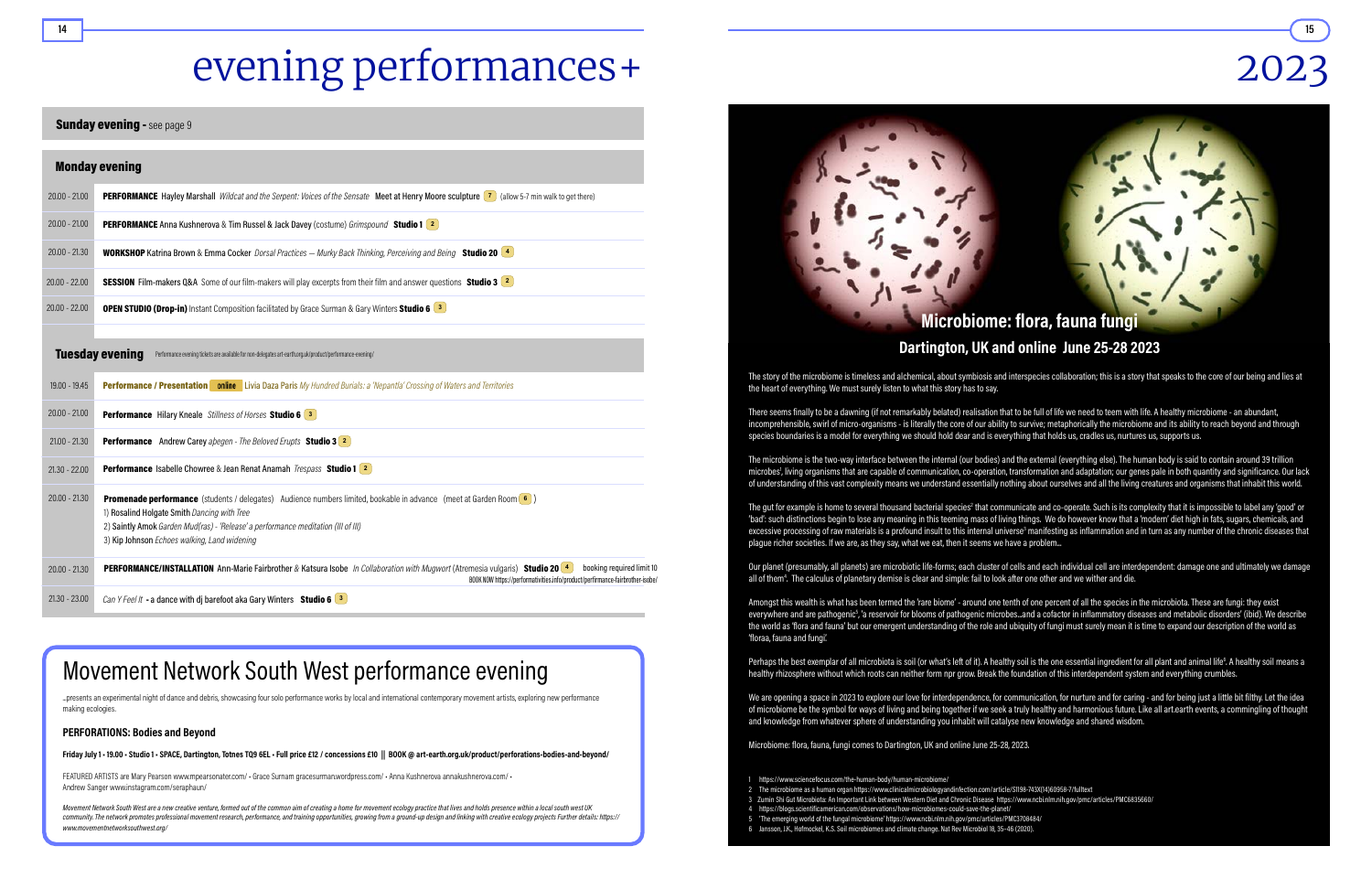# evening performances+

#### **Sunday evening - see page 9**

The story of the microbiome is timeless and alchemical, about symbiosis and interspecies collaboration; this is a story that speaks to the core of our being and lies at the heart of everything. We must surely listen to what this story has to say.

# 2023



The gut for example is home to several thousand bacterial species<sup>2</sup> that communicate and co-operate. Such is its complexity that it is impossible to label any 'good' or 'bad': such distinctions begin to lose any meaning in this teeming mass of living things. We do however know that a 'modern' diet high in fats, sugars, chemicals, and excessive processing of raw materials is a profound insult to this internal universe<sup>3</sup> manifesting as inflammation and in turn as any number of the chronic diseases that plague richer societies. If we are, as they say, what we eat, then it seems we have a problem...

Our planet (presumably, all planets) are microbiotic life-forms; each cluster of cells and each individual cell are interdependent: damage one and ultimately we damage all of them<sup>4</sup>. The calculus of planetary demise is clear and simple: fail to look after one other and we wither and die.

There seems finally to be a dawning (if not remarkably belated) realisation that to be full of life we need to teem with life. A healthy microbiome - an abundant, incomprehensible, swirl of micro-organisms - is literally the core of our ability to survive; metaphorically the microbiome and its ability to reach beyond and through species boundaries is a model for everything we should hold dear and is everything that holds us, cradles us, nurtures us, supports us.

Perhaps the best exemplar of all microbiota is soil (or what's left of it). A healthy soil is the one essential ingredient for all plant and animal life<sup>6</sup>. A healthy soil means a healthy rhizosphere without which roots can neither form npr grow. Break the foundation of this interdependent system and everything crumbles.

The microbiome is the two-way interface between the internal (our bodies) and the external (everything else). The human body is said to contain around 39 trillion microbes<sup>1</sup>, living organisms that are capable of communication, co-operation, transformation and adaptation; our genes pale in both quantity and significance. Our lack of understanding of this vast complexity means we understand essentially nothing about ourselves and all the living creatures and organisms that inhabit this world.

Movement Network South West are a new creative venture, formed out of the common aim of creating a home for movement ecology practice that lives and holds presence within a local south west UK community. The network promotes professional movement research, performance, and training opportunities, growing from a ground-up design and linking with creative ecology projects Further details: https:// www.movementnetworksouthwest.org/

|                 | <b>Monday evening</b>                                                                                                                                                                                                                                                                                   |
|-----------------|---------------------------------------------------------------------------------------------------------------------------------------------------------------------------------------------------------------------------------------------------------------------------------------------------------|
| $20.00 - 21.00$ | <b>PERFORMANCE</b> Hayley Marshall Wildcat and the Serpent: Voices of the Sensate Meet at Henry Moore sculpture (7) (allow 5-7 min walk to get there)                                                                                                                                                   |
| $20.00 - 21.00$ | <b>PERFORMANCE</b> Anna Kushnerova & Tim Russel & Jack Davey (costume) Grimspound Studio 1 2                                                                                                                                                                                                            |
| $20.00 - 21.30$ | <b>WORKSHOP</b> Katrina Brown & Emma Cocker Dorsal Practices - Murky Back Thinking, Perceiving and Being Studio 20 <sup>4</sup>                                                                                                                                                                         |
| $20.00 - 22.00$ | SESSION Film-makers Q&A Some of our film-makers will play excerpts from their film and answer questions Studio 3 2                                                                                                                                                                                      |
| $20.00 - 22.00$ | <b>OPEN STUDIO (Drop-in)</b> Instant Composition facilitated by Grace Surman & Gary Winters Studio 6 3                                                                                                                                                                                                  |
|                 | <b>Tuesday evening</b><br>Performance evening tickets are available for non-delegates art-earth.org.uk/product/performance-evening/                                                                                                                                                                     |
| 19.00 - 19.45   | Performance / Presentation   online   Livia Daza Paris My Hundred Burials: a 'Nepantla' Crossing of Waters and Territories                                                                                                                                                                              |
| $20.00 - 21.00$ | <b>Performance</b> Hilary Kneale Stillness of Horses Studio 6 3                                                                                                                                                                                                                                         |
| $21.00 - 21.30$ | <b>Performance</b> Andrew Carey abegen - The Beloved Erupts Studio 3 2                                                                                                                                                                                                                                  |
| $21.30 - 22.00$ | <b>Performance</b> Isabelle Chowree & Jean Renat Anamah <i>Trespass</i> Studio 1 2                                                                                                                                                                                                                      |
| $20.00 - 21.30$ | Promenade performance (students / delegates) Audience numbers limited, bookable in advance (meet at Garden Room (6)<br>1) Rosalind Holgate Smith Dancing with Tree<br>2) Saintly Amok Garden Mud(ras) - 'Release' a performance meditation (III of III)<br>3) Kip Johnson Echoes walking, Land widening |
| $20.00 - 21.30$ | booking required limit 10<br>PERFORMANCE/INSTALLATION Ann-Marie Fairbrother & Katsura Isobe In Collaboration with Mugwort (Atremesia vulgaris) Studio 20 4<br>BOOK NOW https://performativities.info/product/perfirmance-fairbrother-isobe/                                                             |
| $21.30 - 23.00$ | Can Y Feel It - a dance with dj barefoot aka Gary Winters Studio 6 $\boxed{3}$                                                                                                                                                                                                                          |

Amongst this wealth is what has been termed the 'rare biome' - around one tenth of one percent of all the species in the microbiota. These are fungi: they exist everywhere and are pathogenic<sup>5</sup>, 'a reservoir for blooms of pathogenic microbes...and a cofactor in inflammatory diseases and metabolic disorders' (ibid). We describe the world as 'flora and fauna' but our emergent understanding of the role and ubiquity of fungi must surely mean it is time to expand our description of the world as 'floraa, fauna and fungi'.

We are opening a space in 2023 to explore our love for interdependence, for communication, for nurture and for caring - and for being just a little bit filthy. Let the idea of microbiome be the symbol for ways of living and being together if we seek a truly healthy and harmonious future. Like all art.earth events, a commingling of thought and knowledge from whatever sphere of understanding you inhabit will catalyse new knowledge and shared wisdom.

Microbiome: flora, fauna, fungi comes to Dartington, UK and online June 25-28, 2023.

3 Zumin Shi Gut Microbiota: An Important Link between Western Diet and Chronic Disease https://www.ncbi.nlm.nih.gov/pmc/articles/PMC6835660/

- 1 https://www.sciencefocus.com/the-human-body/human-microbiome/
- 
- 4 https://blogs.scientificamerican.com/observations/how-microbiomes-could-save-the-planet/
- 5 'The emerging world of the fungal microbiome' https://www.ncbi.nlm.nih.gov/pmc/articles/PMC3708484/
- 6 Jansson, J.K., Hofmockel, K.S. Soil microbiomes and climate change. Nat Rev Microbiol 18, 35–46 (2020).

14 <del>- Francusko II.</del> (\* 15

## Movement Network South West performance evening

...presents an experimental night of dance and debris, showcasing four solo performance works by local and international contemporary movement artists, exploring new performance making ecologies.

#### PERFORATIONS: Bodies and Beyond

Friday July 1 · 19.00 · Studio 1 · SPACE, Dartington, Totnes TQ9 6EL · Full price £12 / concessions £10 || [BOOK @](https://art-earth.org.uk/product/grimspound-kushnerova/) [art-earth.org.uk/product/perforations-bodies-and-beyond/](https://art-earth.org.uk/product/perforations-bodies-and-beyond/)

FEATURED ARTISTS are Mary Pearson [www.mpearsonater.com/](https://www.mpearsonater.com/) • Grace Surnam [gracesurman.wordpress.com](https://gracesurman.wordpress.com)/ • Anna Kushnerova [annakushnerova.com/](https://annakushnerova.com/) • Andrew Sanger [www.instagram.com/seraphaun/](https://www.instagram.com/seraphaun/)

<sup>2</sup> The microbiome as a human organ https://www.clinicalmicrobiologyandinfection.com/article/S1198-743X(14)60958-7/fulltext